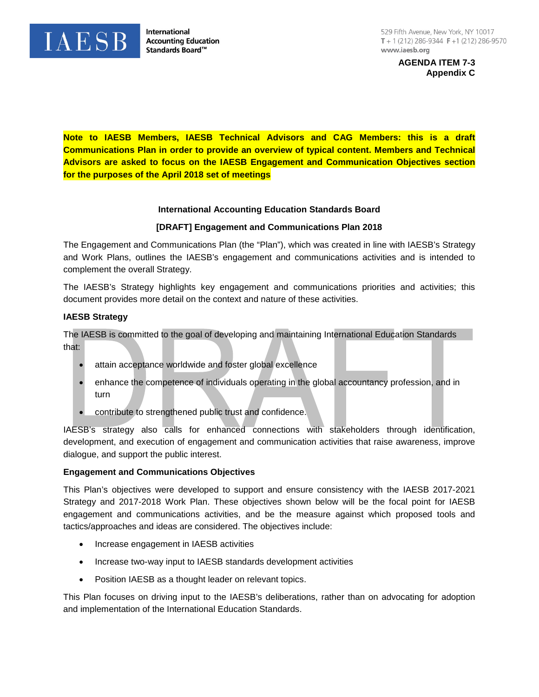

**International Accounting Education** Standards Board™

**AGENDA ITEM 7-3 Appendix C**

**Note to IAESB Members, IAESB Technical Advisors and CAG Members: this is a draft Communications Plan in order to provide an overview of typical content. Members and Technical Advisors are asked to focus on the IAESB Engagement and Communication Objectives section for the purposes of the April 2018 set of meetings**

# **International Accounting Education Standards Board**

#### **[DRAFT] Engagement and Communications Plan 2018**

The Engagement and Communications Plan (the "Plan"), which was created in line with IAESB's Strategy and Work Plans, outlines the IAESB's engagement and communications activities and is intended to complement the overall Strategy.

The IAESB's Strategy highlights key engagement and communications priorities and activities; this document provides more detail on the context and nature of these activities.

#### **IAESB Strategy**

The IAESB is committed to the goal of developing and maintaining International Education Standards that:

- attain acceptance worldwide and foster global excellence
- enhance the competence of individuals operating in the global accountancy profession, and in turn
- contribute to strengthened public trust and confidence.

IAESB's strategy also calls for enhanced connections with stakeholders through identification, development, and execution of engagement and communication activities that raise awareness, improve dialogue, and support the public interest.

#### **Engagement and Communications Objectives**

This Plan's objectives were developed to support and ensure consistency with the IAESB 2017-2021 Strategy and 2017-2018 Work Plan. These objectives shown below will be the focal point for IAESB engagement and communications activities, and be the measure against which proposed tools and tactics/approaches and ideas are considered. The objectives include:

- Increase engagement in IAESB activities
- Increase two-way input to IAESB standards development activities
- Position IAESB as a thought leader on relevant topics.

This Plan focuses on driving input to the IAESB's deliberations, rather than on advocating for adoption and implementation of the International Education Standards.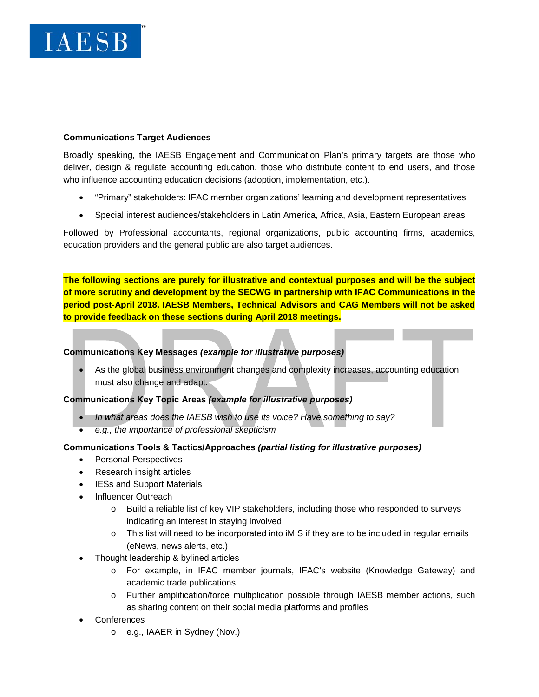

#### **Communications Target Audiences**

Broadly speaking, the IAESB Engagement and Communication Plan's primary targets are those who deliver, design & regulate accounting education, those who distribute content to end users, and those who influence accounting education decisions (adoption, implementation, etc.).

- "Primary" stakeholders: IFAC member organizations' learning and development representatives
- Special interest audiences/stakeholders in Latin America, Africa, Asia, Eastern European areas

Followed by Professional accountants, regional organizations, public accounting firms, academics, education providers and the general public are also target audiences.

**The following sections are purely for illustrative and contextual purposes and will be the subject of more scrutiny and development by the SECWG in partnership with IFAC Communications in the period post-April 2018. IAESB Members, Technical Advisors and CAG Members will not be asked to provide feedback on these sections during April 2018 meetings.**

# **Communications Key Messages** *(example for illustrative purposes)*

• As the global business environment changes and complexity increases, accounting education must also change and adapt.

# **Communications Key Topic Areas** *(example for illustrative purposes)*

- *In what areas does the IAESB wish to use its voice? Have something to say?*
- *e.g., the importance of professional skepticism*

#### **Communications Tools & Tactics/Approaches** *(partial listing for illustrative purposes)*

- Personal Perspectives
- Research insight articles
- IESs and Support Materials
- Influencer Outreach
	- o Build a reliable list of key VIP stakeholders, including those who responded to surveys indicating an interest in staying involved
	- $\circ$  This list will need to be incorporated into iMIS if they are to be included in regular emails (eNews, news alerts, etc.)
- Thought leadership & bylined articles
	- o For example, in IFAC member journals, IFAC's website (Knowledge Gateway) and academic trade publications
	- o Further amplification/force multiplication possible through IAESB member actions, such as sharing content on their social media platforms and profiles
- **Conferences** 
	- o e.g., IAAER in Sydney (Nov.)